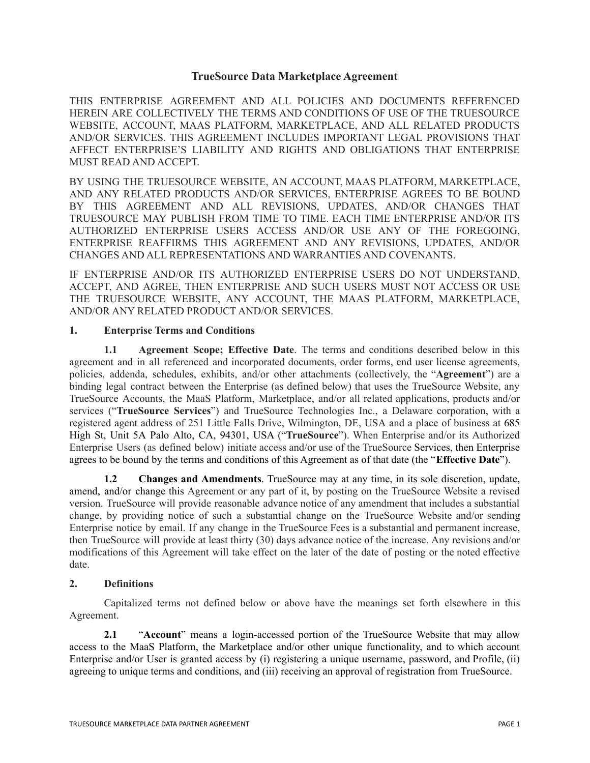## **TrueSource Data Marketplace Agreement**

THIS ENTERPRISE AGREEMENT AND ALL POLICIES AND DOCUMENTS REFERENCED HEREIN ARE COLLECTIVELY THE TERMS AND CONDITIONS OF USE OF THE TRUESOURCE WEBSITE, ACCOUNT, MAAS PLATFORM, MARKETPLACE, AND ALL RELATED PRODUCTS AND/OR SERVICES. THIS AGREEMENT INCLUDES IMPORTANT LEGAL PROVISIONS THAT AFFECT ENTERPRISE'S LIABILITY AND RIGHTS AND OBLIGATIONS THAT ENTERPRISE MUST READ AND ACCEPT.

BY USING THE TRUESOURCE WEBSITE, AN ACCOUNT, MAAS PLATFORM, MARKETPLACE, AND ANY RELATED PRODUCTS AND/OR SERVICES, ENTERPRISE AGREES TO BE BOUND BY THIS AGREEMENT AND ALL REVISIONS, UPDATES, AND/OR CHANGES THAT TRUESOURCE MAY PUBLISH FROM TIME TO TIME. EACH TIME ENTERPRISE AND/OR ITS AUTHORIZED ENTERPRISE USERS ACCESS AND/OR USE ANY OF THE FOREGOING, ENTERPRISE REAFFIRMS THIS AGREEMENT AND ANY REVISIONS, UPDATES, AND/OR CHANGES AND ALL REPRESENTATIONS AND WARRANTIES AND COVENANTS.

IF ENTERPRISE AND/OR ITS AUTHORIZED ENTERPRISE USERS DO NOT UNDERSTAND, ACCEPT, AND AGREE, THEN ENTERPRISE AND SUCH USERS MUST NOT ACCESS OR USE THE TRUESOURCE WEBSITE, ANY ACCOUNT, THE MAAS PLATFORM, MARKETPLACE, AND/OR ANY RELATED PRODUCT AND/OR SERVICES.

## **1. Enterprise Terms and Conditions**

**1.1 Agreement Scope; Effective Date**. The terms and conditions described below in this agreement and in all referenced and incorporated documents, order forms, end user license agreements, policies, addenda, schedules, exhibits, and/or other attachments (collectively, the "**Agreement**") are a binding legal contract between the Enterprise (as defined below) that uses the TrueSource Website, any TrueSource Accounts, the MaaS Platform, Marketplace, and/or all related applications, products and/or services ("**TrueSource Services**") and TrueSource Technologies Inc., a Delaware corporation, with a registered agent address of 251 Little Falls Drive, Wilmington, DE, USA and a place of business at 685 High St, Unit 5A Palo Alto, CA, 94301, USA ("**TrueSource**"). When Enterprise and/or its Authorized Enterprise Users (as defined below) initiate access and/or use of the TrueSource Services, then Enterprise agrees to be bound by the terms and conditions of this Agreement as of that date (the "**Effective Date**").

**1.2 Changes and Amendments**. TrueSource may at any time, in its sole discretion, update, amend, and/or change this Agreement or any part of it, by posting on the TrueSource Website a revised version. TrueSource will provide reasonable advance notice of any amendment that includes a substantial change, by providing notice of such a substantial change on the TrueSource Website and/or sending Enterprise notice by email. If any change in the TrueSource Fees is a substantial and permanent increase, then TrueSource will provide at least thirty (30) days advance notice of the increase. Any revisions and/or modifications of this Agreement will take effect on the later of the date of posting or the noted effective date.

## **2. Definitions**

Capitalized terms not defined below or above have the meanings set forth elsewhere in this Agreement.

**2.1** "**Account**" means a login-accessed portion of the TrueSource Website that may allow access to the MaaS Platform, the Marketplace and/or other unique functionality, and to which account Enterprise and/or User is granted access by (i) registering a unique username, password, and Profile, (ii) agreeing to unique terms and conditions, and (iii) receiving an approval of registration from TrueSource.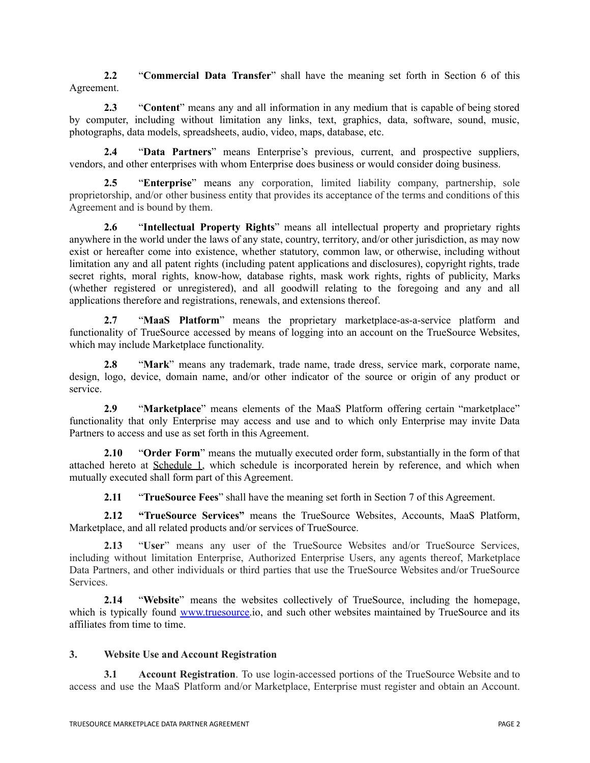**2.2** "**Commercial Data Transfer**" shall have the meaning set forth in Section 6 of this Agreement.

**2.3** "**Content**" means any and all information in any medium that is capable of being stored by computer, including without limitation any links, text, graphics, data, software, sound, music, photographs, data models, spreadsheets, audio, video, maps, database, etc.

**2.4** "**Data Partners**" means Enterprise's previous, current, and prospective suppliers, vendors, and other enterprises with whom Enterprise does business or would consider doing business.

**2.5** "**Enterprise**" means any corporation, limited liability company, partnership, sole proprietorship, and/or other business entity that provides its acceptance of the terms and conditions of this Agreement and is bound by them.

**2.6** "**Intellectual Property Rights**" means all intellectual property and proprietary rights anywhere in the world under the laws of any state, country, territory, and/or other jurisdiction, as may now exist or hereafter come into existence, whether statutory, common law, or otherwise, including without limitation any and all patent rights (including patent applications and disclosures), copyright rights, trade secret rights, moral rights, know-how, database rights, mask work rights, rights of publicity, Marks (whether registered or unregistered), and all goodwill relating to the foregoing and any and all applications therefore and registrations, renewals, and extensions thereof.

**2.7** "**MaaS Platform**" means the proprietary marketplace-as-a-service platform and functionality of TrueSource accessed by means of logging into an account on the TrueSource Websites, which may include Marketplace functionality.

**2.8** "**Mark**" means any trademark, trade name, trade dress, service mark, corporate name, design, logo, device, domain name, and/or other indicator of the source or origin of any product or service.

**2.9** "**Marketplace**" means elements of the MaaS Platform offering certain "marketplace" functionality that only Enterprise may access and use and to which only Enterprise may invite Data Partners to access and use as set forth in this Agreement.

**2.10** "**Order Form**" means the mutually executed order form, substantially in the form of that attached hereto at Schedule 1, which schedule is incorporated herein by reference, and which when mutually executed shall form part of this Agreement.

**2.11** "**TrueSource Fees**" shall have the meaning set forth in Section 7 of this Agreement.

**2.12 "TrueSource Services"** means the TrueSource Websites, Accounts, MaaS Platform, Marketplace, and all related products and/or services of TrueSource.

**2.13** "**User**" means any user of the TrueSource Websites and/or TrueSource Services, including without limitation Enterprise, Authorized Enterprise Users, any agents thereof, Marketplace Data Partners, and other individuals or third parties that use the TrueSource Websites and/or TrueSource Services.

**2.14** "**Website**" means the websites collectively of TrueSource, including the homepage, which is typically found [www.truesource.](http://www.truesource)io, and such other websites maintained by TrueSource and its affiliates from time to time.

## **3. Website Use and Account Registration**

**3.1 Account Registration**. To use login-accessed portions of the TrueSource Website and to access and use the MaaS Platform and/or Marketplace, Enterprise must register and obtain an Account.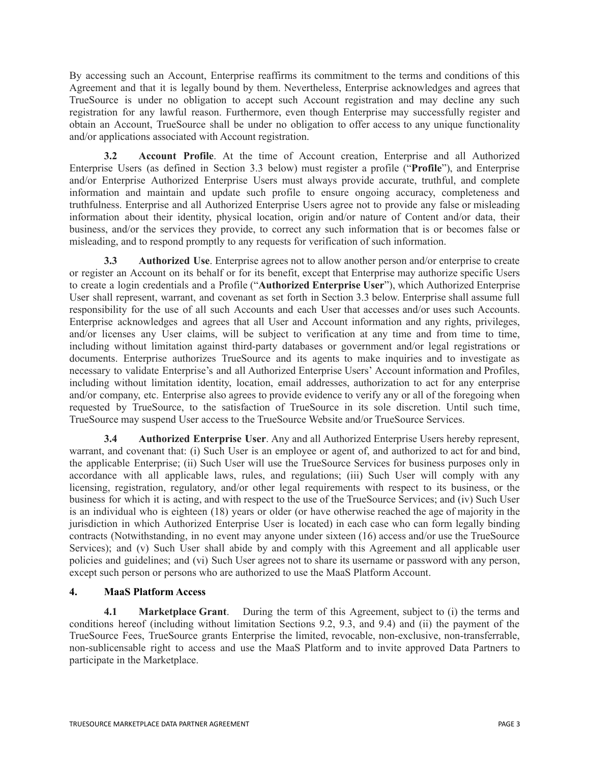By accessing such an Account, Enterprise reaffirms its commitment to the terms and conditions of this Agreement and that it is legally bound by them. Nevertheless, Enterprise acknowledges and agrees that TrueSource is under no obligation to accept such Account registration and may decline any such registration for any lawful reason. Furthermore, even though Enterprise may successfully register and obtain an Account, TrueSource shall be under no obligation to offer access to any unique functionality and/or applications associated with Account registration.

**3.2 Account Profile**. At the time of Account creation, Enterprise and all Authorized Enterprise Users (as defined in Section 3.3 below) must register a profile ("**Profile**"), and Enterprise and/or Enterprise Authorized Enterprise Users must always provide accurate, truthful, and complete information and maintain and update such profile to ensure ongoing accuracy, completeness and truthfulness. Enterprise and all Authorized Enterprise Users agree not to provide any false or misleading information about their identity, physical location, origin and/or nature of Content and/or data, their business, and/or the services they provide, to correct any such information that is or becomes false or misleading, and to respond promptly to any requests for verification of such information.

**3.3 Authorized Use**. Enterprise agrees not to allow another person and/or enterprise to create or register an Account on its behalf or for its benefit, except that Enterprise may authorize specific Users to create a login credentials and a Profile ("**Authorized Enterprise User**"), which Authorized Enterprise User shall represent, warrant, and covenant as set forth in Section 3.3 below. Enterprise shall assume full responsibility for the use of all such Accounts and each User that accesses and/or uses such Accounts. Enterprise acknowledges and agrees that all User and Account information and any rights, privileges, and/or licenses any User claims, will be subject to verification at any time and from time to time, including without limitation against third-party databases or government and/or legal registrations or documents. Enterprise authorizes TrueSource and its agents to make inquiries and to investigate as necessary to validate Enterprise's and all Authorized Enterprise Users' Account information and Profiles, including without limitation identity, location, email addresses, authorization to act for any enterprise and/or company, etc. Enterprise also agrees to provide evidence to verify any or all of the foregoing when requested by TrueSource, to the satisfaction of TrueSource in its sole discretion. Until such time, TrueSource may suspend User access to the TrueSource Website and/or TrueSource Services.

**3.4 Authorized Enterprise User**. Any and all Authorized Enterprise Users hereby represent, warrant, and covenant that: (i) Such User is an employee or agent of, and authorized to act for and bind, the applicable Enterprise; (ii) Such User will use the TrueSource Services for business purposes only in accordance with all applicable laws, rules, and regulations; (iii) Such User will comply with any licensing, registration, regulatory, and/or other legal requirements with respect to its business, or the business for which it is acting, and with respect to the use of the TrueSource Services; and (iv) Such User is an individual who is eighteen (18) years or older (or have otherwise reached the age of majority in the jurisdiction in which Authorized Enterprise User is located) in each case who can form legally binding contracts (Notwithstanding, in no event may anyone under sixteen (16) access and/or use the TrueSource Services); and (v) Such User shall abide by and comply with this Agreement and all applicable user policies and guidelines; and (vi) Such User agrees not to share its username or password with any person, except such person or persons who are authorized to use the MaaS Platform Account.

# **4. MaaS Platform Access**

**4.1 Marketplace Grant**. During the term of this Agreement, subject to (i) the terms and conditions hereof (including without limitation Sections 9.2, 9.3, and 9.4) and (ii) the payment of the TrueSource Fees, TrueSource grants Enterprise the limited, revocable, non-exclusive, non-transferrable, non-sublicensable right to access and use the MaaS Platform and to invite approved Data Partners to participate in the Marketplace.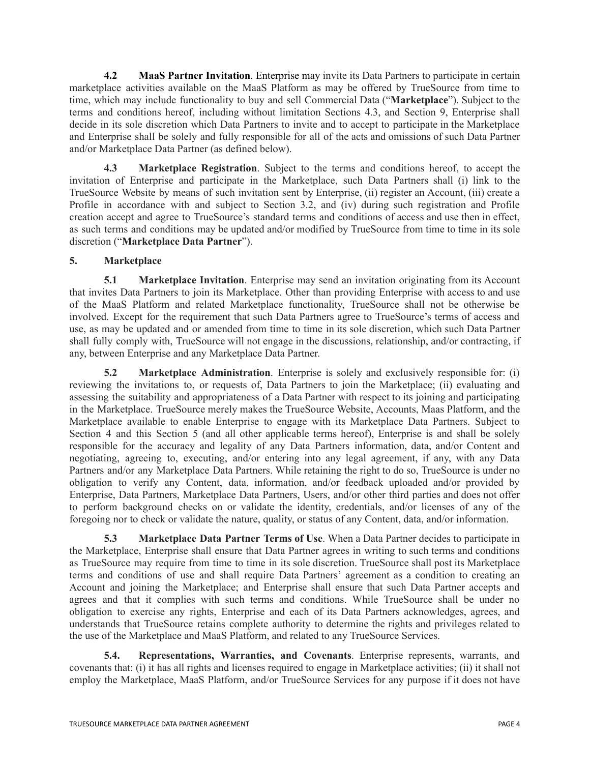**4.2 MaaS Partner Invitation**. Enterprise may invite its Data Partners to participate in certain marketplace activities available on the MaaS Platform as may be offered by TrueSource from time to time, which may include functionality to buy and sell Commercial Data ("**Marketplace**"). Subject to the terms and conditions hereof, including without limitation Sections 4.3, and Section 9, Enterprise shall decide in its sole discretion which Data Partners to invite and to accept to participate in the Marketplace and Enterprise shall be solely and fully responsible for all of the acts and omissions of such Data Partner and/or Marketplace Data Partner (as defined below).

**4.3 Marketplace Registration**. Subject to the terms and conditions hereof, to accept the invitation of Enterprise and participate in the Marketplace, such Data Partners shall (i) link to the TrueSource Website by means of such invitation sent by Enterprise, (ii) register an Account, (iii) create a Profile in accordance with and subject to Section 3.2, and (iv) during such registration and Profile creation accept and agree to TrueSource's standard terms and conditions of access and use then in effect, as such terms and conditions may be updated and/or modified by TrueSource from time to time in its sole discretion ("**Marketplace Data Partner**").

# **5. Marketplace**

**5.1 Marketplace Invitation**. Enterprise may send an invitation originating from its Account that invites Data Partners to join its Marketplace. Other than providing Enterprise with access to and use of the MaaS Platform and related Marketplace functionality, TrueSource shall not be otherwise be involved. Except for the requirement that such Data Partners agree to TrueSource's terms of access and use, as may be updated and or amended from time to time in its sole discretion, which such Data Partner shall fully comply with, TrueSource will not engage in the discussions, relationship, and/or contracting, if any, between Enterprise and any Marketplace Data Partner.

**5.2 Marketplace Administration**. Enterprise is solely and exclusively responsible for: (i) reviewing the invitations to, or requests of, Data Partners to join the Marketplace; (ii) evaluating and assessing the suitability and appropriateness of a Data Partner with respect to its joining and participating in the Marketplace. TrueSource merely makes the TrueSource Website, Accounts, Maas Platform, and the Marketplace available to enable Enterprise to engage with its Marketplace Data Partners. Subject to Section 4 and this Section 5 (and all other applicable terms hereof), Enterprise is and shall be solely responsible for the accuracy and legality of any Data Partners information, data, and/or Content and negotiating, agreeing to, executing, and/or entering into any legal agreement, if any, with any Data Partners and/or any Marketplace Data Partners. While retaining the right to do so, TrueSource is under no obligation to verify any Content, data, information, and/or feedback uploaded and/or provided by Enterprise, Data Partners, Marketplace Data Partners, Users, and/or other third parties and does not offer to perform background checks on or validate the identity, credentials, and/or licenses of any of the foregoing nor to check or validate the nature, quality, or status of any Content, data, and/or information.

**5.3 Marketplace Data Partner Terms of Use**. When a Data Partner decides to participate in the Marketplace, Enterprise shall ensure that Data Partner agrees in writing to such terms and conditions as TrueSource may require from time to time in its sole discretion. TrueSource shall post its Marketplace terms and conditions of use and shall require Data Partners' agreement as a condition to creating an Account and joining the Marketplace; and Enterprise shall ensure that such Data Partner accepts and agrees and that it complies with such terms and conditions. While TrueSource shall be under no obligation to exercise any rights, Enterprise and each of its Data Partners acknowledges, agrees, and understands that TrueSource retains complete authority to determine the rights and privileges related to the use of the Marketplace and MaaS Platform, and related to any TrueSource Services.

**5.4. Representations, Warranties, and Covenants**. Enterprise represents, warrants, and covenants that: (i) it has all rights and licenses required to engage in Marketplace activities; (ii) it shall not employ the Marketplace, MaaS Platform, and/or TrueSource Services for any purpose if it does not have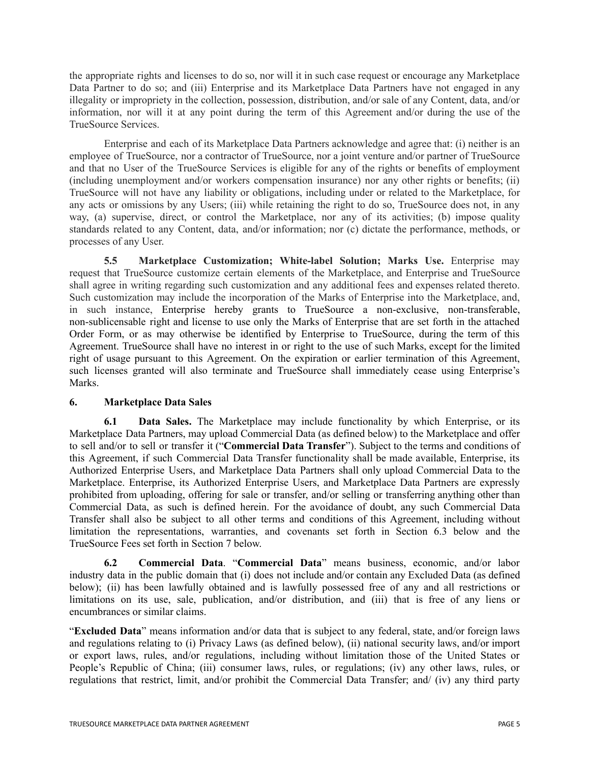the appropriate rights and licenses to do so, nor will it in such case request or encourage any Marketplace Data Partner to do so; and (iii) Enterprise and its Marketplace Data Partners have not engaged in any illegality or impropriety in the collection, possession, distribution, and/or sale of any Content, data, and/or information, nor will it at any point during the term of this Agreement and/or during the use of the TrueSource Services.

Enterprise and each of its Marketplace Data Partners acknowledge and agree that: (i) neither is an employee of TrueSource, nor a contractor of TrueSource, nor a joint venture and/or partner of TrueSource and that no User of the TrueSource Services is eligible for any of the rights or benefits of employment (including unemployment and/or workers compensation insurance) nor any other rights or benefits; (ii) TrueSource will not have any liability or obligations, including under or related to the Marketplace, for any acts or omissions by any Users; (iii) while retaining the right to do so, TrueSource does not, in any way, (a) supervise, direct, or control the Marketplace, nor any of its activities; (b) impose quality standards related to any Content, data, and/or information; nor (c) dictate the performance, methods, or processes of any User.

**5.5 Marketplace Customization; White-label Solution; Marks Use.** Enterprise may request that TrueSource customize certain elements of the Marketplace, and Enterprise and TrueSource shall agree in writing regarding such customization and any additional fees and expenses related thereto. Such customization may include the incorporation of the Marks of Enterprise into the Marketplace, and, in such instance, Enterprise hereby grants to TrueSource a non-exclusive, non-transferable, non-sublicensable right and license to use only the Marks of Enterprise that are set forth in the attached Order Form, or as may otherwise be identified by Enterprise to TrueSource, during the term of this Agreement. TrueSource shall have no interest in or right to the use of such Marks, except for the limited right of usage pursuant to this Agreement. On the expiration or earlier termination of this Agreement, such licenses granted will also terminate and TrueSource shall immediately cease using Enterprise's Marks.

# **6. Marketplace Data Sales**

**6.1 Data Sales.** The Marketplace may include functionality by which Enterprise, or its Marketplace Data Partners, may upload Commercial Data (as defined below) to the Marketplace and offer to sell and/or to sell or transfer it ("**Commercial Data Transfer**"). Subject to the terms and conditions of this Agreement, if such Commercial Data Transfer functionality shall be made available, Enterprise, its Authorized Enterprise Users, and Marketplace Data Partners shall only upload Commercial Data to the Marketplace. Enterprise, its Authorized Enterprise Users, and Marketplace Data Partners are expressly prohibited from uploading, offering for sale or transfer, and/or selling or transferring anything other than Commercial Data, as such is defined herein. For the avoidance of doubt, any such Commercial Data Transfer shall also be subject to all other terms and conditions of this Agreement, including without limitation the representations, warranties, and covenants set forth in Section 6.3 below and the TrueSource Fees set forth in Section 7 below.

**6.2 Commercial Data**. "**Commercial Data**" means business, economic, and/or labor industry data in the public domain that (i) does not include and/or contain any Excluded Data (as defined below); (ii) has been lawfully obtained and is lawfully possessed free of any and all restrictions or limitations on its use, sale, publication, and/or distribution, and (iii) that is free of any liens or encumbrances or similar claims.

"**Excluded Data**" means information and/or data that is subject to any federal, state, and/or foreign laws and regulations relating to (i) Privacy Laws (as defined below), (ii) national security laws, and/or import or export laws, rules, and/or regulations, including without limitation those of the United States or People's Republic of China; (iii) consumer laws, rules, or regulations; (iv) any other laws, rules, or regulations that restrict, limit, and/or prohibit the Commercial Data Transfer; and/ (iv) any third party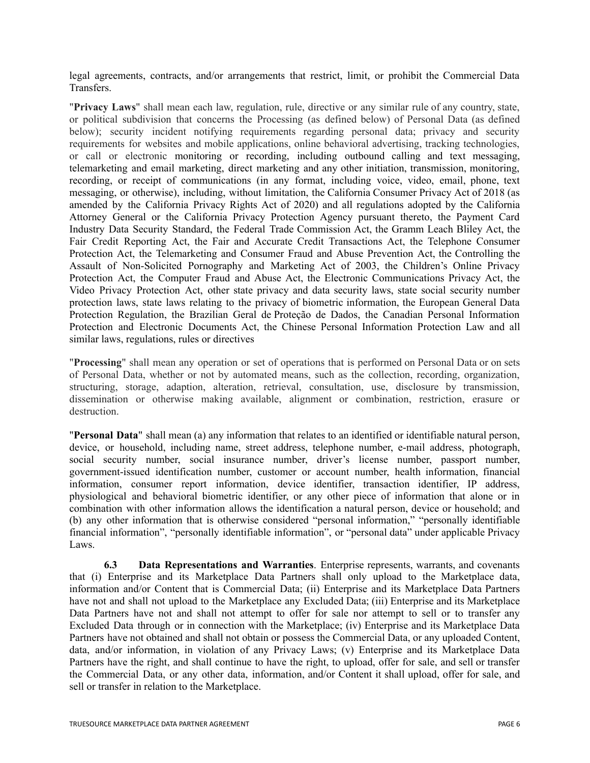legal agreements, contracts, and/or arrangements that restrict, limit, or prohibit the Commercial Data Transfers.

"**Privacy Laws**" shall mean each law, regulation, rule, directive or any similar rule of any country, state, or political subdivision that concerns the Processing (as defined below) of Personal Data (as defined below); security incident notifying requirements regarding personal data; privacy and security requirements for websites and mobile applications, online behavioral advertising, tracking technologies, or call or electronic monitoring or recording, including outbound calling and text messaging, telemarketing and email marketing, direct marketing and any other initiation, transmission, monitoring, recording, or receipt of communications (in any format, including voice, video, email, phone, text messaging, or otherwise), including, without limitation, the California Consumer Privacy Act of 2018 (as amended by the California Privacy Rights Act of 2020) and all regulations adopted by the California Attorney General or the California Privacy Protection Agency pursuant thereto, the Payment Card Industry Data Security Standard, the Federal Trade Commission Act, the Gramm Leach Bliley Act, the Fair Credit Reporting Act, the Fair and Accurate Credit Transactions Act, the Telephone Consumer Protection Act, the Telemarketing and Consumer Fraud and Abuse Prevention Act, the Controlling the Assault of Non-Solicited Pornography and Marketing Act of 2003, the Children's Online Privacy Protection Act, the Computer Fraud and Abuse Act, the Electronic Communications Privacy Act, the Video Privacy Protection Act, other state privacy and data security laws, state social security number protection laws, state laws relating to the privacy of biometric information, the European General Data Protection Regulation, the Brazilian Geral de Proteção de Dados, the Canadian Personal Information Protection and Electronic Documents Act, the Chinese Personal Information Protection Law and all similar laws, regulations, rules or directives

"**Processing**" shall mean any operation or set of operations that is performed on Personal Data or on sets of Personal Data, whether or not by automated means, such as the collection, recording, organization, structuring, storage, adaption, alteration, retrieval, consultation, use, disclosure by transmission, dissemination or otherwise making available, alignment or combination, restriction, erasure or destruction.

"**Personal Data**" shall mean (a) any information that relates to an identified or identifiable natural person, device, or household, including name, street address, telephone number, e-mail address, photograph, social security number, social insurance number, driver's license number, passport number, government-issued identification number, customer or account number, health information, financial information, consumer report information, device identifier, transaction identifier, IP address, physiological and behavioral biometric identifier, or any other piece of information that alone or in combination with other information allows the identification a natural person, device or household; and (b) any other information that is otherwise considered "personal information," "personally identifiable financial information", "personally identifiable information", or "personal data" under applicable Privacy Laws.

**6.3 Data Representations and Warranties**. Enterprise represents, warrants, and covenants that (i) Enterprise and its Marketplace Data Partners shall only upload to the Marketplace data, information and/or Content that is Commercial Data; (ii) Enterprise and its Marketplace Data Partners have not and shall not upload to the Marketplace any Excluded Data; (iii) Enterprise and its Marketplace Data Partners have not and shall not attempt to offer for sale nor attempt to sell or to transfer any Excluded Data through or in connection with the Marketplace; (iv) Enterprise and its Marketplace Data Partners have not obtained and shall not obtain or possess the Commercial Data, or any uploaded Content, data, and/or information, in violation of any Privacy Laws; (v) Enterprise and its Marketplace Data Partners have the right, and shall continue to have the right, to upload, offer for sale, and sell or transfer the Commercial Data, or any other data, information, and/or Content it shall upload, offer for sale, and sell or transfer in relation to the Marketplace.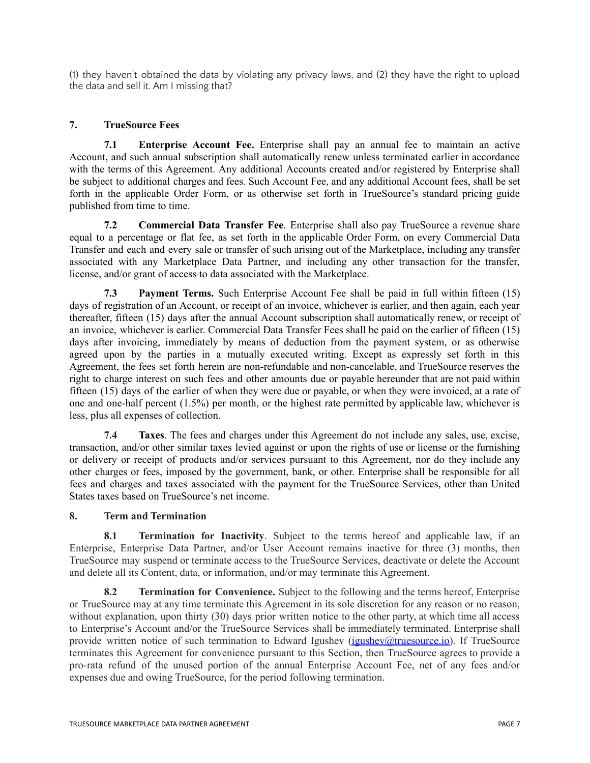(1) they haven't obtained the data by violating any privacy laws, and (2) they have the right to upload the data and sell it. Am I missing that?

# **7. TrueSource Fees**

**7.1 Enterprise Account Fee.** Enterprise shall pay an annual fee to maintain an active Account, and such annual subscription shall automatically renew unless terminated earlier in accordance with the terms of this Agreement. Any additional Accounts created and/or registered by Enterprise shall be subject to additional charges and fees. Such Account Fee, and any additional Account fees, shall be set forth in the applicable Order Form, or as otherwise set forth in TrueSource's standard pricing guide published from time to time.

**7.2 Commercial Data Transfer Fee**. Enterprise shall also pay TrueSource a revenue share equal to a percentage or flat fee, as set forth in the applicable Order Form, on every Commercial Data Transfer and each and every sale or transfer of such arising out of the Marketplace, including any transfer associated with any Marketplace Data Partner, and including any other transaction for the transfer, license, and/or grant of access to data associated with the Marketplace.

**7.3 Payment Terms.** Such Enterprise Account Fee shall be paid in full within fifteen (15) days of registration of an Account, or receipt of an invoice, whichever is earlier, and then again, each year thereafter, fifteen (15) days after the annual Account subscription shall automatically renew, or receipt of an invoice, whichever is earlier. Commercial Data Transfer Fees shall be paid on the earlier of fifteen (15) days after invoicing, immediately by means of deduction from the payment system, or as otherwise agreed upon by the parties in a mutually executed writing. Except as expressly set forth in this Agreement, the fees set forth herein are non-refundable and non-cancelable, and TrueSource reserves the right to charge interest on such fees and other amounts due or payable hereunder that are not paid within fifteen (15) days of the earlier of when they were due or payable, or when they were invoiced, at a rate of one and one-half percent (1.5%) per month, or the highest rate permitted by applicable law, whichever is less, plus all expenses of collection.

**7.4 Taxes**. The fees and charges under this Agreement do not include any sales, use, excise, transaction, and/or other similar taxes levied against or upon the rights of use or license or the furnishing or delivery or receipt of products and/or services pursuant to this Agreement, nor do they include any other charges or fees, imposed by the government, bank, or other. Enterprise shall be responsible for all fees and charges and taxes associated with the payment for the TrueSource Services, other than United States taxes based on TrueSource's net income.

## **8. Term and Termination**

**8.1 Termination for Inactivity**. Subject to the terms hereof and applicable law, if an Enterprise, Enterprise Data Partner, and/or User Account remains inactive for three (3) months, then TrueSource may suspend or terminate access to the TrueSource Services, deactivate or delete the Account and delete all its Content, data, or information, and/or may terminate this Agreement.

**8.2 Termination for Convenience.** Subject to the following and the terms hereof, Enterprise or TrueSource may at any time terminate this Agreement in its sole discretion for any reason or no reason, without explanation, upon thirty (30) days prior written notice to the other party, at which time all access to Enterprise's Account and/or the TrueSource Services shall be immediately terminated. Enterprise shall provide written notice of such termination to Edward Igushev (igushev attuesource.io). If TrueSource terminates this Agreement for convenience pursuant to this Section, then TrueSource agrees to provide a pro-rata refund of the unused portion of the annual Enterprise Account Fee, net of any fees and/or expenses due and owing TrueSource, for the period following termination.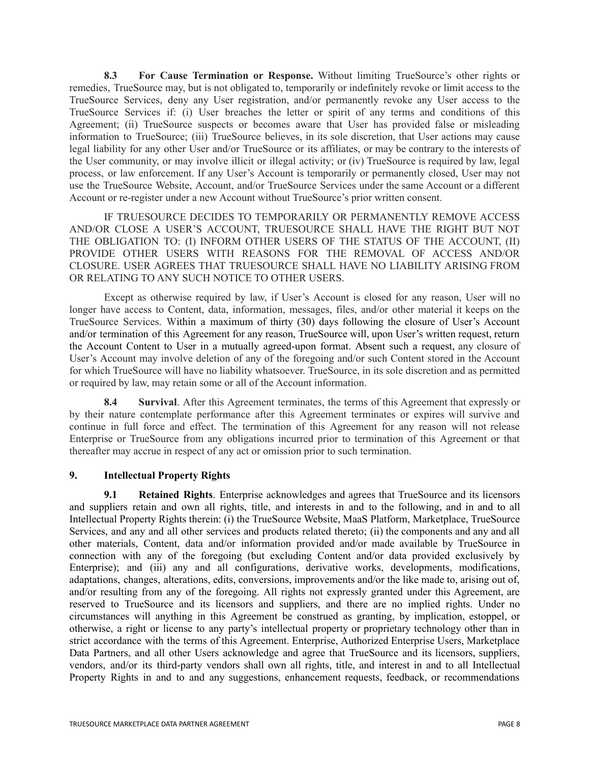**8.3 For Cause Termination or Response.** Without limiting TrueSource's other rights or remedies, TrueSource may, but is not obligated to, temporarily or indefinitely revoke or limit access to the TrueSource Services, deny any User registration, and/or permanently revoke any User access to the TrueSource Services if: (i) User breaches the letter or spirit of any terms and conditions of this Agreement; (ii) TrueSource suspects or becomes aware that User has provided false or misleading information to TrueSource; (iii) TrueSource believes, in its sole discretion, that User actions may cause legal liability for any other User and/or TrueSource or its affiliates, or may be contrary to the interests of the User community, or may involve illicit or illegal activity; or (iv) TrueSource is required by law, legal process, or law enforcement. If any User's Account is temporarily or permanently closed, User may not use the TrueSource Website, Account, and/or TrueSource Services under the same Account or a different Account or re-register under a new Account without TrueSource's prior written consent.

IF TRUESOURCE DECIDES TO TEMPORARILY OR PERMANENTLY REMOVE ACCESS AND/OR CLOSE A USER'S ACCOUNT, TRUESOURCE SHALL HAVE THE RIGHT BUT NOT THE OBLIGATION TO: (I) INFORM OTHER USERS OF THE STATUS OF THE ACCOUNT, (II) PROVIDE OTHER USERS WITH REASONS FOR THE REMOVAL OF ACCESS AND/OR CLOSURE. USER AGREES THAT TRUESOURCE SHALL HAVE NO LIABILITY ARISING FROM OR RELATING TO ANY SUCH NOTICE TO OTHER USERS.

Except as otherwise required by law, if User's Account is closed for any reason, User will no longer have access to Content, data, information, messages, files, and/or other material it keeps on the TrueSource Services. Within a maximum of thirty (30) days following the closure of User's Account and/or termination of this Agreement for any reason, TrueSource will, upon User's written request, return the Account Content to User in a mutually agreed-upon format. Absent such a request, any closure of User's Account may involve deletion of any of the foregoing and/or such Content stored in the Account for which TrueSource will have no liability whatsoever. TrueSource, in its sole discretion and as permitted or required by law, may retain some or all of the Account information.

**8.4 Survival**. After this Agreement terminates, the terms of this Agreement that expressly or by their nature contemplate performance after this Agreement terminates or expires will survive and continue in full force and effect. The termination of this Agreement for any reason will not release Enterprise or TrueSource from any obligations incurred prior to termination of this Agreement or that thereafter may accrue in respect of any act or omission prior to such termination.

## **9. Intellectual Property Rights**

**9.1 Retained Rights**. Enterprise acknowledges and agrees that TrueSource and its licensors and suppliers retain and own all rights, title, and interests in and to the following, and in and to all Intellectual Property Rights therein: (i) the TrueSource Website, MaaS Platform, Marketplace, TrueSource Services, and any and all other services and products related thereto; (ii) the components and any and all other materials, Content, data and/or information provided and/or made available by TrueSource in connection with any of the foregoing (but excluding Content and/or data provided exclusively by Enterprise); and (iii) any and all configurations, derivative works, developments, modifications, adaptations, changes, alterations, edits, conversions, improvements and/or the like made to, arising out of, and/or resulting from any of the foregoing. All rights not expressly granted under this Agreement, are reserved to TrueSource and its licensors and suppliers, and there are no implied rights. Under no circumstances will anything in this Agreement be construed as granting, by implication, estoppel, or otherwise, a right or license to any party's intellectual property or proprietary technology other than in strict accordance with the terms of this Agreement. Enterprise, Authorized Enterprise Users, Marketplace Data Partners, and all other Users acknowledge and agree that TrueSource and its licensors, suppliers, vendors, and/or its third-party vendors shall own all rights, title, and interest in and to all Intellectual Property Rights in and to and any suggestions, enhancement requests, feedback, or recommendations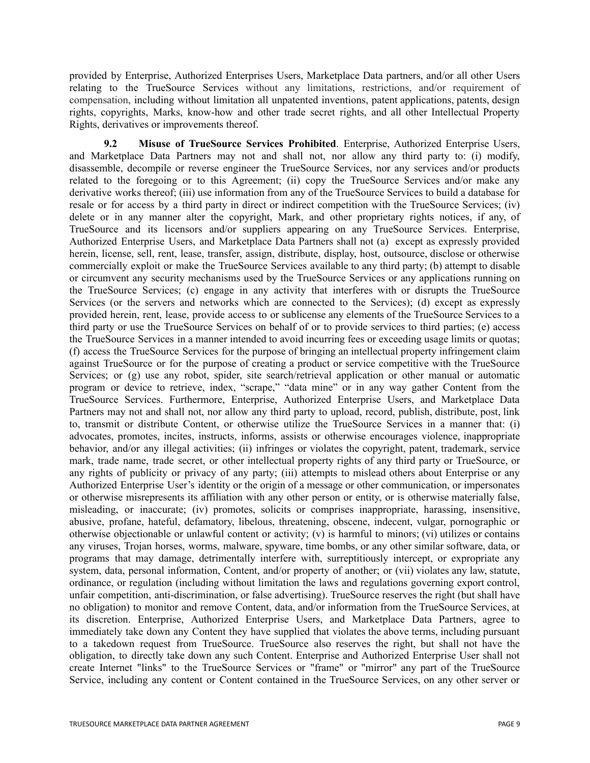provided by Enterprise, Authorized Enterprises Users, Marketplace Data partners, and/or all other Users relating to the TrueSource Services without any limitations, restrictions, and/or requirement of compensation, including without limitation all unpatented inventions, patent applications, patents, design rights, copyrights, Marks, know-how and other trade secret rights, and all other Intellectual Property Rights, derivatives or improvements thereof.

**9.2 Misuse of TrueSource Services Prohibited**. Enterprise, Authorized Enterprise Users, and Marketplace Data Partners may not and shall not, nor allow any third party to: (i) modify, disassemble, decompile or reverse engineer the TrueSource Services, nor any services and/or products related to the foregoing or to this Agreement; (ii) copy the TrueSource Services and/or make any derivative works thereof; (iii) use information from any of the TrueSource Services to build a database for resale or for access by a third party in direct or indirect competition with the TrueSource Services; (iv) delete or in any manner alter the copyright, Mark, and other proprietary rights notices, if any, of TrueSource and its licensors and/or suppliers appearing on any TrueSource Services. Enterprise, Authorized Enterprise Users, and Marketplace Data Partners shall not (a) except as expressly provided herein, license, sell, rent, lease, transfer, assign, distribute, display, host, outsource, disclose or otherwise commercially exploit or make the TrueSource Services available to any third party; (b) attempt to disable or circumvent any security mechanisms used by the TrueSource Services or any applications running on the TrueSource Services; (c) engage in any activity that interferes with or disrupts the TrueSource Services (or the servers and networks which are connected to the Services); (d) except as expressly provided herein, rent, lease, provide access to or sublicense any elements of the TrueSource Services to a third party or use the TrueSource Services on behalf of or to provide services to third parties; (e) access the TrueSource Services in a manner intended to avoid incurring fees or exceeding usage limits or quotas; (f) access the TrueSource Services for the purpose of bringing an intellectual property infringement claim against TrueSource or for the purpose of creating a product or service competitive with the TrueSource Services; or (g) use any robot, spider, site search/retrieval application or other manual or automatic program or device to retrieve, index, "scrape," "data mine" or in any way gather Content from the TrueSource Services. Furthermore, Enterprise, Authorized Enterprise Users, and Marketplace Data Partners may not and shall not, nor allow any third party to upload, record, publish, distribute, post, link to, transmit or distribute Content, or otherwise utilize the TrueSource Services in a manner that: (i) advocates, promotes, incites, instructs, informs, assists or otherwise encourages violence, inappropriate behavior, and/or any illegal activities; (ii) infringes or violates the copyright, patent, trademark, service mark, trade name, trade secret, or other intellectual property rights of any third party or TrueSource, or any rights of publicity or privacy of any party; (iii) attempts to mislead others about Enterprise or any Authorized Enterprise User's identity or the origin of a message or other communication, or impersonates or otherwise misrepresents its affiliation with any other person or entity, or is otherwise materially false, misleading, or inaccurate; (iv) promotes, solicits or comprises inappropriate, harassing, insensitive, abusive, profane, hateful, defamatory, libelous, threatening, obscene, indecent, vulgar, pornographic or otherwise objectionable or unlawful content or activity; (v) is harmful to minors; (vi) utilizes or contains any viruses, Trojan horses, worms, malware, spyware, time bombs, or any other similar software, data, or programs that may damage, detrimentally interfere with, surreptitiously intercept, or expropriate any system, data, personal information, Content, and/or property of another; or (vii) violates any law, statute, ordinance, or regulation (including without limitation the laws and regulations governing export control, unfair competition, anti-discrimination, or false advertising). TrueSource reserves the right (but shall have no obligation) to monitor and remove Content, data, and/or information from the TrueSource Services, at its discretion. Enterprise, Authorized Enterprise Users, and Marketplace Data Partners, agree to immediately take down any Content they have supplied that violates the above terms, including pursuant to a takedown request from TrueSource. TrueSource also reserves the right, but shall not have the obligation, to directly take down any such Content. Enterprise and Authorized Enterprise User shall not create Internet "links" to the TrueSource Services or "frame" or "mirror" any part of the TrueSource Service, including any content or Content contained in the TrueSource Services, on any other server or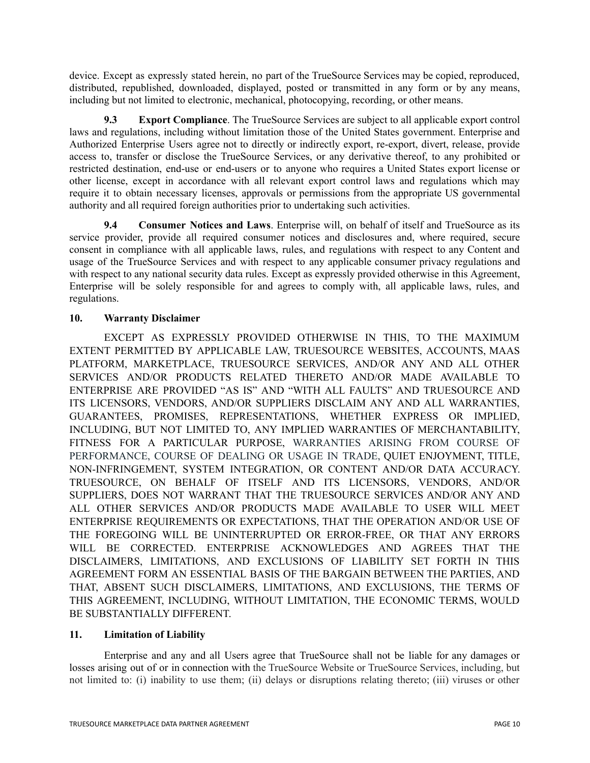device. Except as expressly stated herein, no part of the TrueSource Services may be copied, reproduced, distributed, republished, downloaded, displayed, posted or transmitted in any form or by any means, including but not limited to electronic, mechanical, photocopying, recording, or other means.

**9.3 Export Compliance**. The TrueSource Services are subject to all applicable export control laws and regulations, including without limitation those of the United States government. Enterprise and Authorized Enterprise Users agree not to directly or indirectly export, re-export, divert, release, provide access to, transfer or disclose the TrueSource Services, or any derivative thereof, to any prohibited or restricted destination, end-use or end-users or to anyone who requires a United States export license or other license, except in accordance with all relevant export control laws and regulations which may require it to obtain necessary licenses, approvals or permissions from the appropriate US governmental authority and all required foreign authorities prior to undertaking such activities.

**9.4 Consumer Notices and Laws**. Enterprise will, on behalf of itself and TrueSource as its service provider, provide all required consumer notices and disclosures and, where required, secure consent in compliance with all applicable laws, rules, and regulations with respect to any Content and usage of the TrueSource Services and with respect to any applicable consumer privacy regulations and with respect to any national security data rules. Except as expressly provided otherwise in this Agreement, Enterprise will be solely responsible for and agrees to comply with, all applicable laws, rules, and regulations.

# **10. Warranty Disclaimer**

EXCEPT AS EXPRESSLY PROVIDED OTHERWISE IN THIS, TO THE MAXIMUM EXTENT PERMITTED BY APPLICABLE LAW, TRUESOURCE WEBSITES, ACCOUNTS, MAAS PLATFORM, MARKETPLACE, TRUESOURCE SERVICES, AND/OR ANY AND ALL OTHER SERVICES AND/OR PRODUCTS RELATED THERETO AND/OR MADE AVAILABLE TO ENTERPRISE ARE PROVIDED "AS IS" AND "WITH ALL FAULTS" AND TRUESOURCE AND ITS LICENSORS, VENDORS, AND/OR SUPPLIERS DISCLAIM ANY AND ALL WARRANTIES, GUARANTEES, PROMISES, REPRESENTATIONS, WHETHER EXPRESS OR IMPLIED, INCLUDING, BUT NOT LIMITED TO, ANY IMPLIED WARRANTIES OF MERCHANTABILITY, FITNESS FOR A PARTICULAR PURPOSE, WARRANTIES ARISING FROM COURSE OF PERFORMANCE, COURSE OF DEALING OR USAGE IN TRADE, QUIET ENJOYMENT, TITLE, NON-INFRINGEMENT, SYSTEM INTEGRATION, OR CONTENT AND/OR DATA ACCURACY. TRUESOURCE, ON BEHALF OF ITSELF AND ITS LICENSORS, VENDORS, AND/OR SUPPLIERS, DOES NOT WARRANT THAT THE TRUESOURCE SERVICES AND/OR ANY AND ALL OTHER SERVICES AND/OR PRODUCTS MADE AVAILABLE TO USER WILL MEET ENTERPRISE REQUIREMENTS OR EXPECTATIONS, THAT THE OPERATION AND/OR USE OF THE FOREGOING WILL BE UNINTERRUPTED OR ERROR-FREE, OR THAT ANY ERRORS WILL BE CORRECTED. ENTERPRISE ACKNOWLEDGES AND AGREES THAT THE DISCLAIMERS, LIMITATIONS, AND EXCLUSIONS OF LIABILITY SET FORTH IN THIS AGREEMENT FORM AN ESSENTIAL BASIS OF THE BARGAIN BETWEEN THE PARTIES, AND THAT, ABSENT SUCH DISCLAIMERS, LIMITATIONS, AND EXCLUSIONS, THE TERMS OF THIS AGREEMENT, INCLUDING, WITHOUT LIMITATION, THE ECONOMIC TERMS, WOULD BE SUBSTANTIALLY DIFFERENT.

## **11. Limitation of Liability**

Enterprise and any and all Users agree that TrueSource shall not be liable for any damages or losses arising out of or in connection with the TrueSource Website or TrueSource Services, including, but not limited to: (i) inability to use them; (ii) delays or disruptions relating thereto; (iii) viruses or other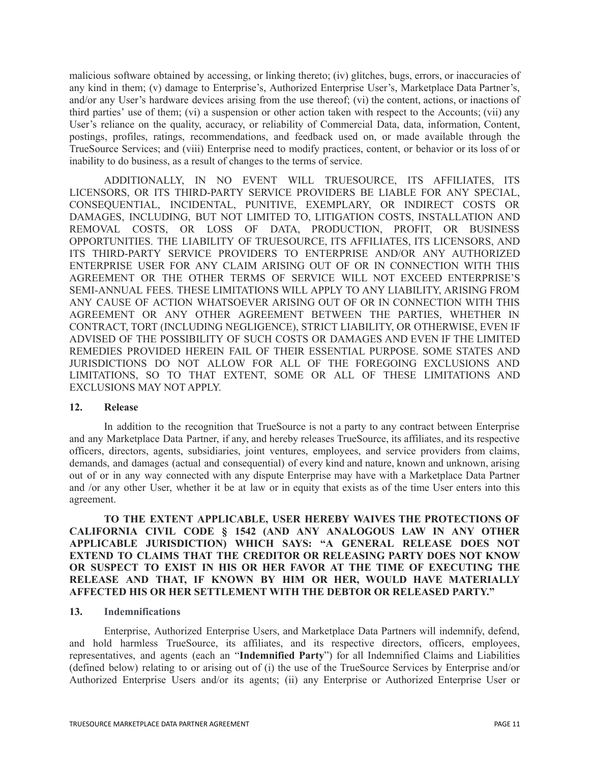malicious software obtained by accessing, or linking thereto; (iv) glitches, bugs, errors, or inaccuracies of any kind in them; (v) damage to Enterprise's, Authorized Enterprise User's, Marketplace Data Partner's, and/or any User's hardware devices arising from the use thereof; (vi) the content, actions, or inactions of third parties' use of them; (vi) a suspension or other action taken with respect to the Accounts; (vii) any User's reliance on the quality, accuracy, or reliability of Commercial Data, data, information, Content, postings, profiles, ratings, recommendations, and feedback used on, or made available through the TrueSource Services; and (viii) Enterprise need to modify practices, content, or behavior or its loss of or inability to do business, as a result of changes to the terms of service.

ADDITIONALLY, IN NO EVENT WILL TRUESOURCE, ITS AFFILIATES, ITS LICENSORS, OR ITS THIRD-PARTY SERVICE PROVIDERS BE LIABLE FOR ANY SPECIAL, CONSEQUENTIAL, INCIDENTAL, PUNITIVE, EXEMPLARY, OR INDIRECT COSTS OR DAMAGES, INCLUDING, BUT NOT LIMITED TO, LITIGATION COSTS, INSTALLATION AND REMOVAL COSTS, OR LOSS OF DATA, PRODUCTION, PROFIT, OR BUSINESS OPPORTUNITIES. THE LIABILITY OF TRUESOURCE, ITS AFFILIATES, ITS LICENSORS, AND ITS THIRD-PARTY SERVICE PROVIDERS TO ENTERPRISE AND/OR ANY AUTHORIZED ENTERPRISE USER FOR ANY CLAIM ARISING OUT OF OR IN CONNECTION WITH THIS AGREEMENT OR THE OTHER TERMS OF SERVICE WILL NOT EXCEED ENTERPRISE'S SEMI-ANNUAL FEES. THESE LIMITATIONS WILL APPLY TO ANY LIABILITY, ARISING FROM ANY CAUSE OF ACTION WHATSOEVER ARISING OUT OF OR IN CONNECTION WITH THIS AGREEMENT OR ANY OTHER AGREEMENT BETWEEN THE PARTIES, WHETHER IN CONTRACT, TORT (INCLUDING NEGLIGENCE), STRICT LIABILITY, OR OTHERWISE, EVEN IF ADVISED OF THE POSSIBILITY OF SUCH COSTS OR DAMAGES AND EVEN IF THE LIMITED REMEDIES PROVIDED HEREIN FAIL OF THEIR ESSENTIAL PURPOSE. SOME STATES AND JURISDICTIONS DO NOT ALLOW FOR ALL OF THE FOREGOING EXCLUSIONS AND LIMITATIONS, SO TO THAT EXTENT, SOME OR ALL OF THESE LIMITATIONS AND EXCLUSIONS MAY NOT APPLY.

#### **12. Release**

In addition to the recognition that TrueSource is not a party to any contract between Enterprise and any Marketplace Data Partner, if any, and hereby releases TrueSource, its affiliates, and its respective officers, directors, agents, subsidiaries, joint ventures, employees, and service providers from claims, demands, and damages (actual and consequential) of every kind and nature, known and unknown, arising out of or in any way connected with any dispute Enterprise may have with a Marketplace Data Partner and /or any other User, whether it be at law or in equity that exists as of the time User enters into this agreement.

**TO THE EXTENT APPLICABLE, USER HEREBY WAIVES THE PROTECTIONS OF CALIFORNIA CIVIL CODE § 1542 (AND ANY ANALOGOUS LAW IN ANY OTHER APPLICABLE JURISDICTION) WHICH SAYS: "A GENERAL RELEASE DOES NOT EXTEND TO CLAIMS THAT THE CREDITOR OR RELEASING PARTY DOES NOT KNOW OR SUSPECT TO EXIST IN HIS OR HER FAVOR AT THE TIME OF EXECUTING THE RELEASE AND THAT, IF KNOWN BY HIM OR HER, WOULD HAVE MATERIALLY AFFECTED HIS OR HER SETTLEMENT WITH THE DEBTOR OR RELEASED PARTY."**

#### **13. Indemnifications**

Enterprise, Authorized Enterprise Users, and Marketplace Data Partners will indemnify, defend, and hold harmless TrueSource, its affiliates, and its respective directors, officers, employees, representatives, and agents (each an "**Indemnified Party**") for all Indemnified Claims and Liabilities (defined below) relating to or arising out of (i) the use of the TrueSource Services by Enterprise and/or Authorized Enterprise Users and/or its agents; (ii) any Enterprise or Authorized Enterprise User or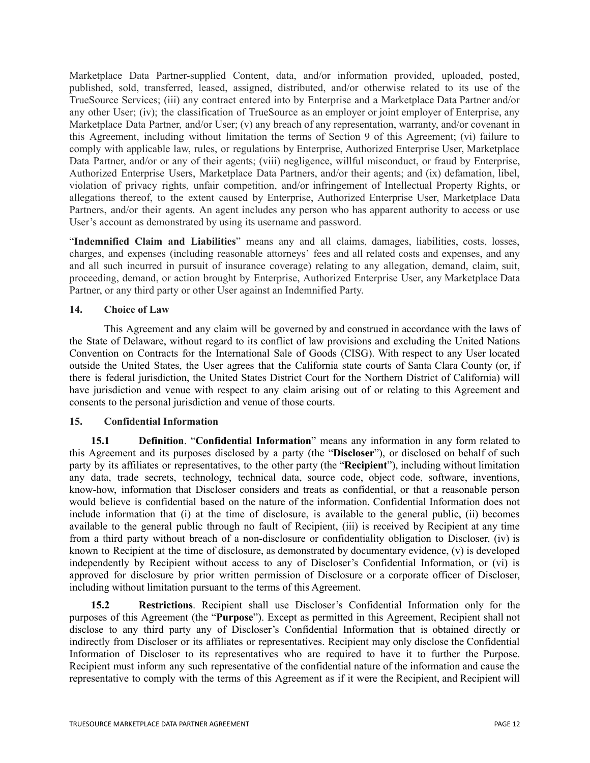Marketplace Data Partner-supplied Content, data, and/or information provided, uploaded, posted, published, sold, transferred, leased, assigned, distributed, and/or otherwise related to its use of the TrueSource Services; (iii) any contract entered into by Enterprise and a Marketplace Data Partner and/or any other User; (iv); the classification of TrueSource as an employer or joint employer of Enterprise, any Marketplace Data Partner, and/or User; (v) any breach of any representation, warranty, and/or covenant in this Agreement, including without limitation the terms of Section 9 of this Agreement; (vi) failure to comply with applicable law, rules, or regulations by Enterprise, Authorized Enterprise User, Marketplace Data Partner, and/or or any of their agents; (viii) negligence, willful misconduct, or fraud by Enterprise, Authorized Enterprise Users, Marketplace Data Partners, and/or their agents; and (ix) defamation, libel, violation of privacy rights, unfair competition, and/or infringement of Intellectual Property Rights, or allegations thereof, to the extent caused by Enterprise, Authorized Enterprise User, Marketplace Data Partners, and/or their agents. An agent includes any person who has apparent authority to access or use User's account as demonstrated by using its username and password.

"**Indemnified Claim and Liabilities**" means any and all claims, damages, liabilities, costs, losses, charges, and expenses (including reasonable attorneys' fees and all related costs and expenses, and any and all such incurred in pursuit of insurance coverage) relating to any allegation, demand, claim, suit, proceeding, demand, or action brought by Enterprise, Authorized Enterprise User, any Marketplace Data Partner, or any third party or other User against an Indemnified Party.

## **14. Choice of Law**

This Agreement and any claim will be governed by and construed in accordance with the laws of the State of Delaware, without regard to its conflict of law provisions and excluding the United Nations Convention on Contracts for the International Sale of Goods (CISG). With respect to any User located outside the United States, the User agrees that the California state courts of Santa Clara County (or, if there is federal jurisdiction, the United States District Court for the Northern District of California) will have jurisdiction and venue with respect to any claim arising out of or relating to this Agreement and consents to the personal jurisdiction and venue of those courts.

#### **15. Confidential Information**

**15.1 Definition**. "**Confidential Information**" means any information in any form related to this Agreement and its purposes disclosed by a party (the "**Discloser**"), or disclosed on behalf of such party by its affiliates or representatives, to the other party (the "**Recipient**"), including without limitation any data, trade secrets, technology, technical data, source code, object code, software, inventions, know-how, information that Discloser considers and treats as confidential, or that a reasonable person would believe is confidential based on the nature of the information. Confidential Information does not include information that (i) at the time of disclosure, is available to the general public, (ii) becomes available to the general public through no fault of Recipient, (iii) is received by Recipient at any time from a third party without breach of a non-disclosure or confidentiality obligation to Discloser, (iv) is known to Recipient at the time of disclosure, as demonstrated by documentary evidence, (v) is developed independently by Recipient without access to any of Discloser's Confidential Information, or (vi) is approved for disclosure by prior written permission of Disclosure or a corporate officer of Discloser, including without limitation pursuant to the terms of this Agreement.

**15.2 Restrictions**. Recipient shall use Discloser's Confidential Information only for the purposes of this Agreement (the "**Purpose**"). Except as permitted in this Agreement, Recipient shall not disclose to any third party any of Discloser's Confidential Information that is obtained directly or indirectly from Discloser or its affiliates or representatives. Recipient may only disclose the Confidential Information of Discloser to its representatives who are required to have it to further the Purpose. Recipient must inform any such representative of the confidential nature of the information and cause the representative to comply with the terms of this Agreement as if it were the Recipient, and Recipient will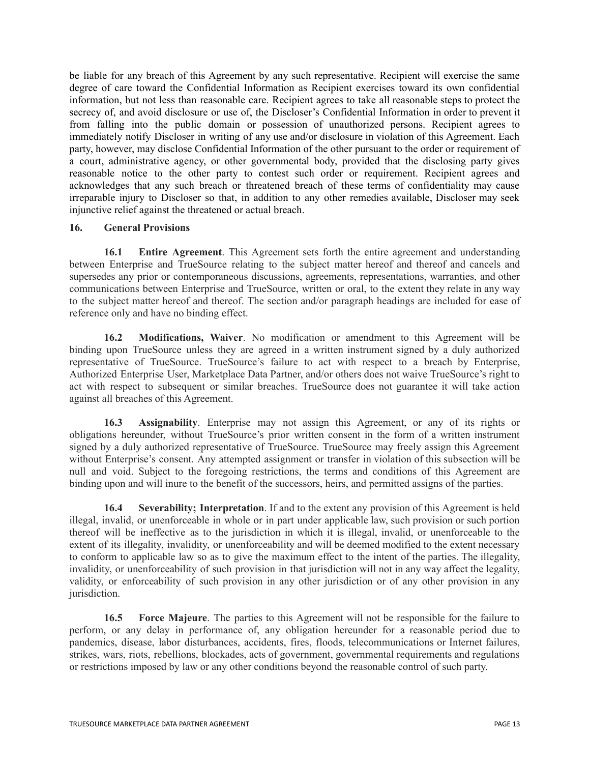be liable for any breach of this Agreement by any such representative. Recipient will exercise the same degree of care toward the Confidential Information as Recipient exercises toward its own confidential information, but not less than reasonable care. Recipient agrees to take all reasonable steps to protect the secrecy of, and avoid disclosure or use of, the Discloser's Confidential Information in order to prevent it from falling into the public domain or possession of unauthorized persons. Recipient agrees to immediately notify Discloser in writing of any use and/or disclosure in violation of this Agreement. Each party, however, may disclose Confidential Information of the other pursuant to the order or requirement of a court, administrative agency, or other governmental body, provided that the disclosing party gives reasonable notice to the other party to contest such order or requirement. Recipient agrees and acknowledges that any such breach or threatened breach of these terms of confidentiality may cause irreparable injury to Discloser so that, in addition to any other remedies available, Discloser may seek injunctive relief against the threatened or actual breach.

## **16. General Provisions**

**16.1 Entire Agreement**. This Agreement sets forth the entire agreement and understanding between Enterprise and TrueSource relating to the subject matter hereof and thereof and cancels and supersedes any prior or contemporaneous discussions, agreements, representations, warranties, and other communications between Enterprise and TrueSource, written or oral, to the extent they relate in any way to the subject matter hereof and thereof. The section and/or paragraph headings are included for ease of reference only and have no binding effect.

**16.2 Modifications, Waiver**. No modification or amendment to this Agreement will be binding upon TrueSource unless they are agreed in a written instrument signed by a duly authorized representative of TrueSource. TrueSource's failure to act with respect to a breach by Enterprise, Authorized Enterprise User, Marketplace Data Partner, and/or others does not waive TrueSource's right to act with respect to subsequent or similar breaches. TrueSource does not guarantee it will take action against all breaches of this Agreement.

**16.3 Assignability**. Enterprise may not assign this Agreement, or any of its rights or obligations hereunder, without TrueSource's prior written consent in the form of a written instrument signed by a duly authorized representative of TrueSource. TrueSource may freely assign this Agreement without Enterprise's consent. Any attempted assignment or transfer in violation of this subsection will be null and void. Subject to the foregoing restrictions, the terms and conditions of this Agreement are binding upon and will inure to the benefit of the successors, heirs, and permitted assigns of the parties.

**16.4 Severability; Interpretation**. If and to the extent any provision of this Agreement is held illegal, invalid, or unenforceable in whole or in part under applicable law, such provision or such portion thereof will be ineffective as to the jurisdiction in which it is illegal, invalid, or unenforceable to the extent of its illegality, invalidity, or unenforceability and will be deemed modified to the extent necessary to conform to applicable law so as to give the maximum effect to the intent of the parties. The illegality, invalidity, or unenforceability of such provision in that jurisdiction will not in any way affect the legality, validity, or enforceability of such provision in any other jurisdiction or of any other provision in any jurisdiction.

**16.5 Force Majeure**. The parties to this Agreement will not be responsible for the failure to perform, or any delay in performance of, any obligation hereunder for a reasonable period due to pandemics, disease, labor disturbances, accidents, fires, floods, telecommunications or Internet failures, strikes, wars, riots, rebellions, blockades, acts of government, governmental requirements and regulations or restrictions imposed by law or any other conditions beyond the reasonable control of such party.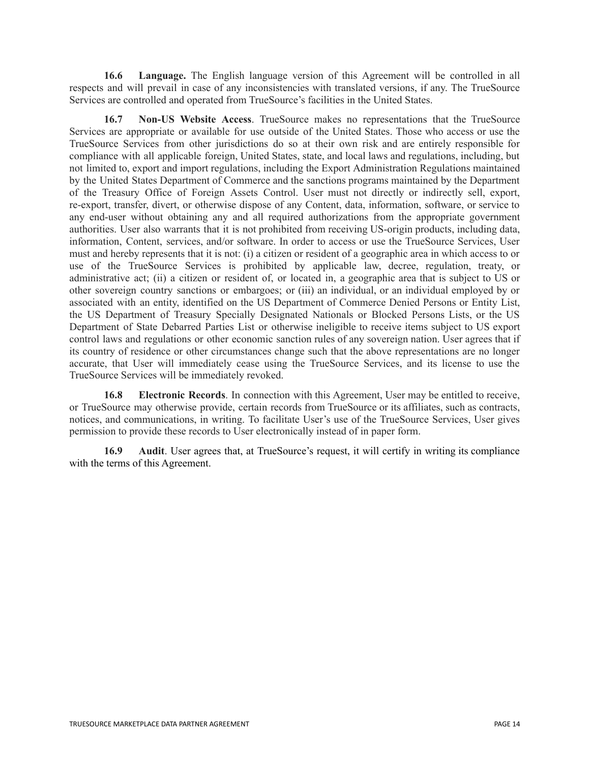**16.6 Language.** The English language version of this Agreement will be controlled in all respects and will prevail in case of any inconsistencies with translated versions, if any. The TrueSource Services are controlled and operated from TrueSource's facilities in the United States.

**16.7 Non-US Website Access**. TrueSource makes no representations that the TrueSource Services are appropriate or available for use outside of the United States. Those who access or use the TrueSource Services from other jurisdictions do so at their own risk and are entirely responsible for compliance with all applicable foreign, United States, state, and local laws and regulations, including, but not limited to, export and import regulations, including the Export Administration Regulations maintained by the United States Department of Commerce and the sanctions programs maintained by the Department of the Treasury Office of Foreign Assets Control. User must not directly or indirectly sell, export, re-export, transfer, divert, or otherwise dispose of any Content, data, information, software, or service to any end-user without obtaining any and all required authorizations from the appropriate government authorities. User also warrants that it is not prohibited from receiving US-origin products, including data, information, Content, services, and/or software. In order to access or use the TrueSource Services, User must and hereby represents that it is not: (i) a citizen or resident of a geographic area in which access to or use of the TrueSource Services is prohibited by applicable law, decree, regulation, treaty, or administrative act; (ii) a citizen or resident of, or located in, a geographic area that is subject to US or other sovereign country sanctions or embargoes; or (iii) an individual, or an individual employed by or associated with an entity, identified on the US Department of Commerce Denied Persons or Entity List, the US Department of Treasury Specially Designated Nationals or Blocked Persons Lists, or the US Department of State Debarred Parties List or otherwise ineligible to receive items subject to US export control laws and regulations or other economic sanction rules of any sovereign nation. User agrees that if its country of residence or other circumstances change such that the above representations are no longer accurate, that User will immediately cease using the TrueSource Services, and its license to use the TrueSource Services will be immediately revoked.

**16.8 Electronic Records**. In connection with this Agreement, User may be entitled to receive, or TrueSource may otherwise provide, certain records from TrueSource or its affiliates, such as contracts, notices, and communications, in writing. To facilitate User's use of the TrueSource Services, User gives permission to provide these records to User electronically instead of in paper form.

**16.9 Audit**. User agrees that, at TrueSource's request, it will certify in writing its compliance with the terms of this Agreement.